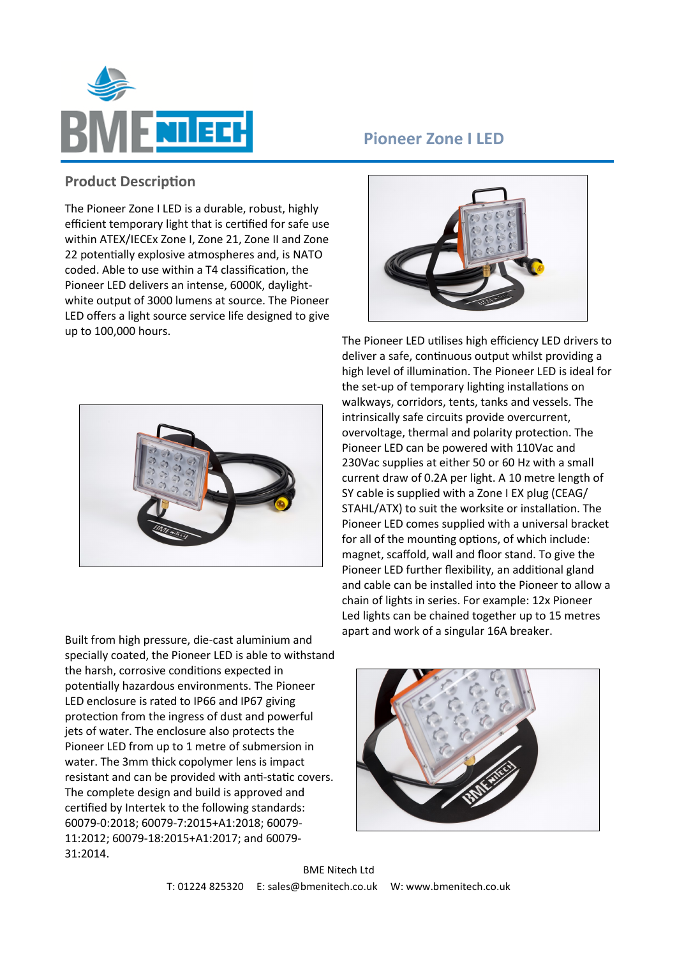

## **Pioneer Zone I LED**

## **Product Description**

The Pioneer Zone I LED is a durable, robust, highly efficient temporary light that is certified for safe use within ATEX/IECEx Zone I, Zone 21, Zone II and Zone 22 potentially explosive atmospheres and, is NATO coded. Able to use within a T4 classification, the Pioneer LED delivers an intense, 6000K, daylightwhite output of 3000 lumens at source. The Pioneer LED offers a light source service life designed to give up to 100,000 hours.



Built from high pressure, die-cast aluminium and specially coated, the Pioneer LED is able to withstand the harsh, corrosive conditions expected in potentially hazardous environments. The Pioneer LED enclosure is rated to IP66 and IP67 giving protection from the ingress of dust and powerful jets of water. The enclosure also protects the Pioneer LED from up to 1 metre of submersion in water. The 3mm thick copolymer lens is impact resistant and can be provided with anti-static covers. The complete design and build is approved and certified by Intertek to the following standards: 60079-0:2018; 60079-7:2015+A1:2018; 60079- 11:2012; 60079-18:2015+A1:2017; and 60079- 31:2014.



The Pioneer LED utilises high efficiency LED drivers to deliver a safe, continuous output whilst providing a high level of illumination. The Pioneer LED is ideal for the set-up of temporary lighting installations on walkways, corridors, tents, tanks and vessels. The intrinsically safe circuits provide overcurrent, overvoltage, thermal and polarity protection. The Pioneer LED can be powered with 110Vac and 230Vac supplies at either 50 or 60 Hz with a small current draw of 0.2A per light. A 10 metre length of SY cable is supplied with a Zone I EX plug (CEAG/ STAHL/ATX) to suit the worksite or installation. The Pioneer LED comes supplied with a universal bracket for all of the mounting options, of which include: magnet, scaffold, wall and floor stand. To give the Pioneer LED further flexibility, an additional gland and cable can be installed into the Pioneer to allow a chain of lights in series. For example: 12x Pioneer Led lights can be chained together up to 15 metres apart and work of a singular 16A breaker.